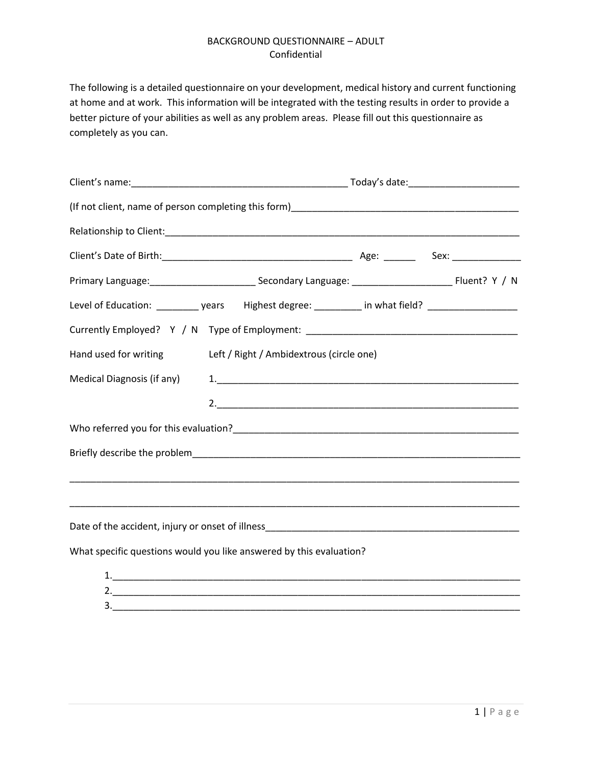The following is a detailed questionnaire on your development, medical history and current functioning at home and at work. This information will be integrated with the testing results in order to provide a better picture of your abilities as well as any problem areas. Please fill out this questionnaire as completely as you can.

| Level of Education: ___________ years Highest degree: _________ in what field? ____________________ |                                          |  |  |
|-----------------------------------------------------------------------------------------------------|------------------------------------------|--|--|
| Currently Employed? Y / N Type of Employment: __________________________________                    |                                          |  |  |
| Hand used for writing                                                                               | Left / Right / Ambidextrous (circle one) |  |  |
| Medical Diagnosis (if any)                                                                          |                                          |  |  |
|                                                                                                     |                                          |  |  |
|                                                                                                     |                                          |  |  |
|                                                                                                     |                                          |  |  |
|                                                                                                     |                                          |  |  |
|                                                                                                     |                                          |  |  |
|                                                                                                     |                                          |  |  |
| What specific questions would you like answered by this evaluation?                                 |                                          |  |  |
|                                                                                                     |                                          |  |  |
|                                                                                                     |                                          |  |  |
|                                                                                                     |                                          |  |  |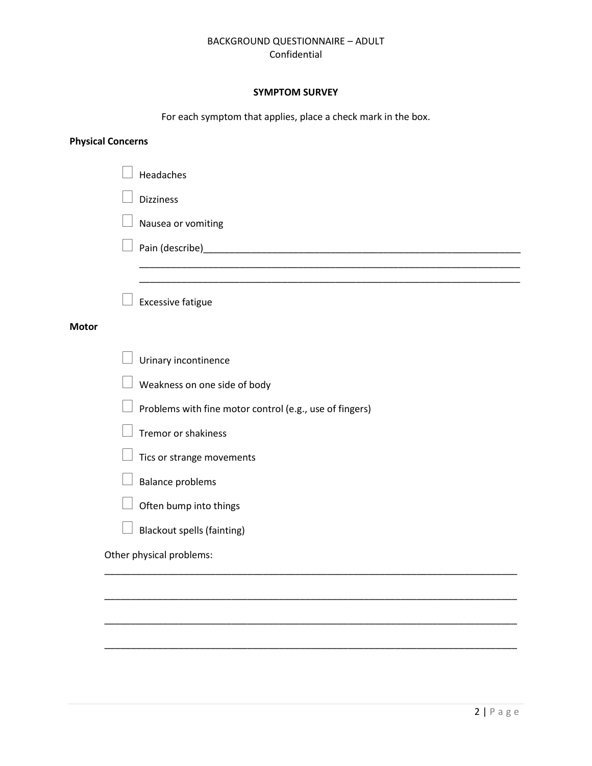# **SYMPTOM SURVEY**

For each symptom that applies, place a check mark in the box.

# **Physical Concerns**

|              | Headaches                                               |
|--------------|---------------------------------------------------------|
|              | <b>Dizziness</b>                                        |
|              | Nausea or vomiting                                      |
|              |                                                         |
|              |                                                         |
|              | <b>Excessive fatigue</b>                                |
| <b>Motor</b> |                                                         |
|              | Urinary incontinence                                    |
|              | Weakness on one side of body                            |
|              | Problems with fine motor control (e.g., use of fingers) |
|              | Tremor or shakiness                                     |
|              | Tics or strange movements                               |
|              | <b>Balance problems</b>                                 |
|              | Often bump into things                                  |
|              | <b>Blackout spells (fainting)</b>                       |
|              | Other physical problems:                                |
|              |                                                         |
|              |                                                         |
|              |                                                         |

\_\_\_\_\_\_\_\_\_\_\_\_\_\_\_\_\_\_\_\_\_\_\_\_\_\_\_\_\_\_\_\_\_\_\_\_\_\_\_\_\_\_\_\_\_\_\_\_\_\_\_\_\_\_\_\_\_\_\_\_\_\_\_\_\_\_\_\_\_\_\_\_\_\_\_\_\_\_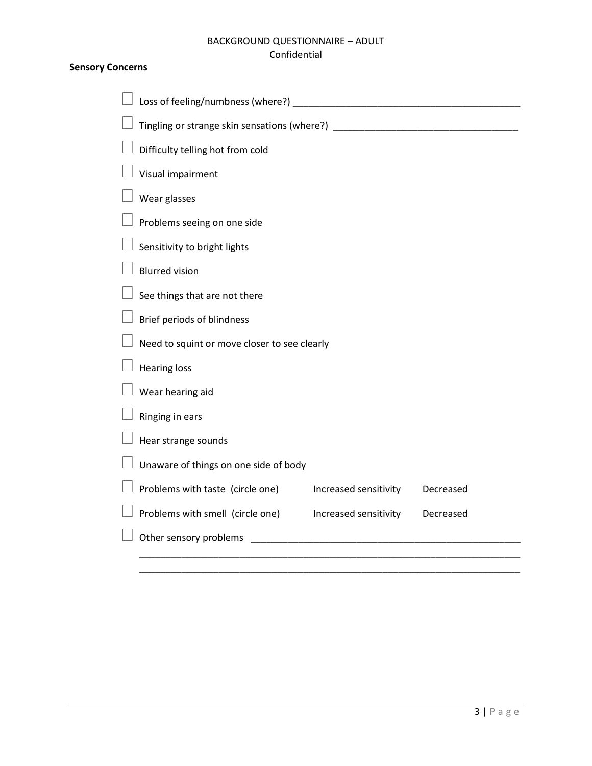### **Sensory Concerns**

| Loss of feeling/numbness (where?) [19] [2012] [2012] [2012] [2012] [2012] [2012] [2012] [2012] [2012] [2012] [ |
|----------------------------------------------------------------------------------------------------------------|
| Tingling or strange skin sensations (where?) ___________________________________                               |
| Difficulty telling hot from cold                                                                               |
| Visual impairment                                                                                              |
| Wear glasses                                                                                                   |
| Problems seeing on one side                                                                                    |
| Sensitivity to bright lights                                                                                   |
| <b>Blurred vision</b>                                                                                          |
| See things that are not there                                                                                  |
| Brief periods of blindness                                                                                     |
| Need to squint or move closer to see clearly                                                                   |
| <b>Hearing loss</b>                                                                                            |
| Wear hearing aid                                                                                               |
| Ringing in ears                                                                                                |
| Hear strange sounds                                                                                            |
| Unaware of things on one side of body                                                                          |
| Problems with taste (circle one)<br>Increased sensitivity<br>Decreased                                         |
| Problems with smell (circle one)<br>Increased sensitivity<br>Decreased                                         |
| Other sensory problems                                                                                         |
|                                                                                                                |

\_\_\_\_\_\_\_\_\_\_\_\_\_\_\_\_\_\_\_\_\_\_\_\_\_\_\_\_\_\_\_\_\_\_\_\_\_\_\_\_\_\_\_\_\_\_\_\_\_\_\_\_\_\_\_\_\_\_\_\_\_\_\_\_\_\_\_\_\_\_\_\_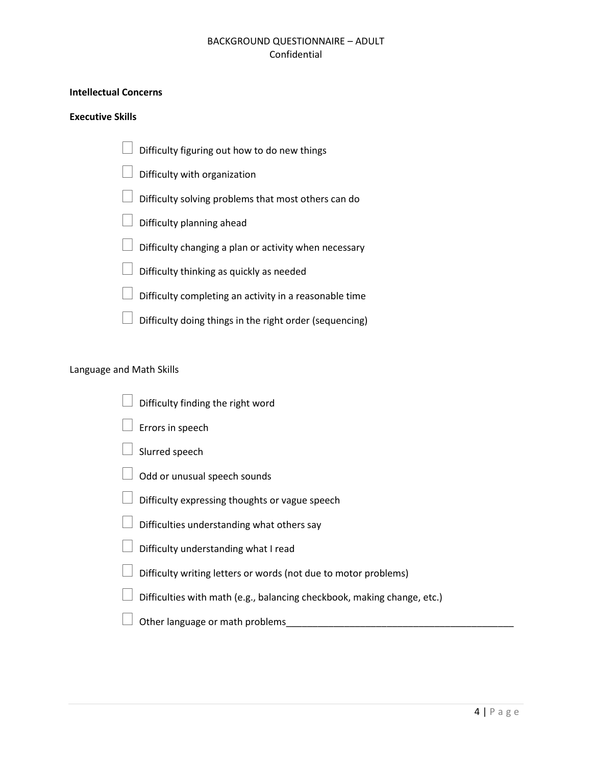## **Intellectual Concerns**

#### **Executive Skills**

 Difficulty figuring out how to do new things Difficulty with organization Difficulty solving problems that most others can do Difficulty planning ahead  $\Box$  Difficulty changing a plan or activity when necessary  $\Box$  Difficulty thinking as quickly as needed  $\Box$  Difficulty completing an activity in a reasonable time  $\Box$  Difficulty doing things in the right order (sequencing)

# Language and Math Skills

- Difficulty finding the right word
- Errors in speech
- Slurred speech
- $\Box$  Odd or unusual speech sounds
- $\Box$  Difficulty expressing thoughts or vague speech
- $\Box$  Difficulties understanding what others say
- $\Box$  Difficulty understanding what I read
- $\Box$  Difficulty writing letters or words (not due to motor problems)
- $\Box$  Difficulties with math (e.g., balancing checkbook, making change, etc.)
- $\Box$  Other language or math problems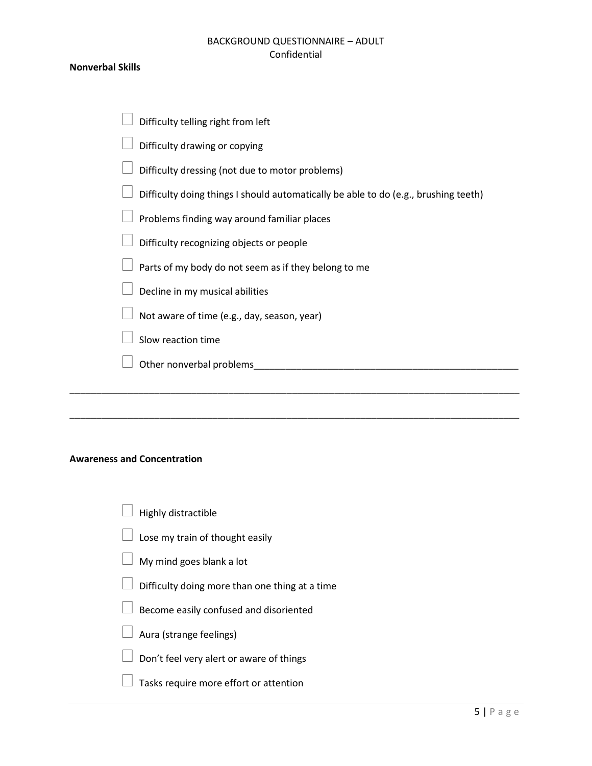#### **Nonverbal Skills**

| Difficulty telling right from left                                                  |
|-------------------------------------------------------------------------------------|
| Difficulty drawing or copying                                                       |
| Difficulty dressing (not due to motor problems)                                     |
| Difficulty doing things I should automatically be able to do (e.g., brushing teeth) |
| Problems finding way around familiar places                                         |
| Difficulty recognizing objects or people                                            |
| Parts of my body do not seem as if they belong to me                                |
| Decline in my musical abilities                                                     |
| Not aware of time (e.g., day, season, year)                                         |
| Slow reaction time                                                                  |
| Other nonverbal problems                                                            |
|                                                                                     |

\_\_\_\_\_\_\_\_\_\_\_\_\_\_\_\_\_\_\_\_\_\_\_\_\_\_\_\_\_\_\_\_\_\_\_\_\_\_\_\_\_\_\_\_\_\_\_\_\_\_\_\_\_\_\_\_\_\_\_\_\_\_\_\_\_\_\_\_\_\_\_\_\_\_\_\_\_\_\_\_\_\_\_\_\_

### **Awareness and Concentration**

| $\Box$ Highly distractible                            |
|-------------------------------------------------------|
| $\Box$ Lose my train of thought easily                |
| $\Box$ My mind goes blank a lot                       |
| $\Box$ Difficulty doing more than one thing at a time |

- $\Box$  Become easily confused and disoriented
- $\Box$  Aura (strange feelings)
- $\perp$  Don't feel very alert or aware of things
- $\Box$  Tasks require more effort or attention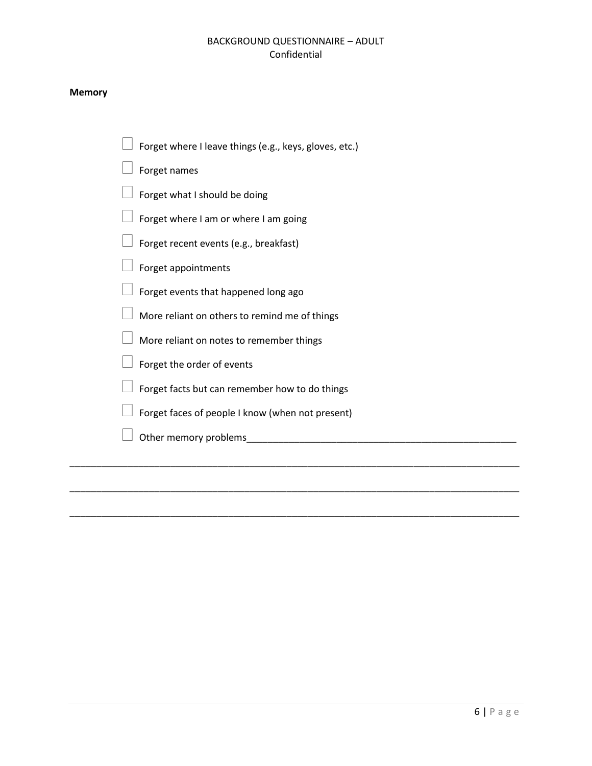#### **Memory**

- Forget where I leave things (e.g., keys, gloves, etc.)
- Forget names
- $\Box$  Forget what I should be doing
- $\Box$  Forget where I am or where I am going
- $\mathbb I$  Forget recent events (e.g., breakfast)
- $\Box$  Forget appointments
- $\perp$  Forget events that happened long ago
- $\Box$  More reliant on others to remind me of things
- $\Box$  More reliant on notes to remember things
- $\Box$  Forget the order of events
- $\Box$  Forget facts but can remember how to do things
- $\Box$  Forget faces of people I know (when not present)

\_\_\_\_\_\_\_\_\_\_\_\_\_\_\_\_\_\_\_\_\_\_\_\_\_\_\_\_\_\_\_\_\_\_\_\_\_\_\_\_\_\_\_\_\_\_\_\_\_\_\_\_\_\_\_\_\_\_\_\_\_\_\_\_\_\_\_\_\_\_\_\_\_\_\_\_\_\_\_\_\_\_\_\_\_

\_\_\_\_\_\_\_\_\_\_\_\_\_\_\_\_\_\_\_\_\_\_\_\_\_\_\_\_\_\_\_\_\_\_\_\_\_\_\_\_\_\_\_\_\_\_\_\_\_\_\_\_\_\_\_\_\_\_\_\_\_\_\_\_\_\_\_\_\_\_\_\_\_\_\_\_\_\_\_\_\_\_\_\_\_

 $\Box$  Other memory problems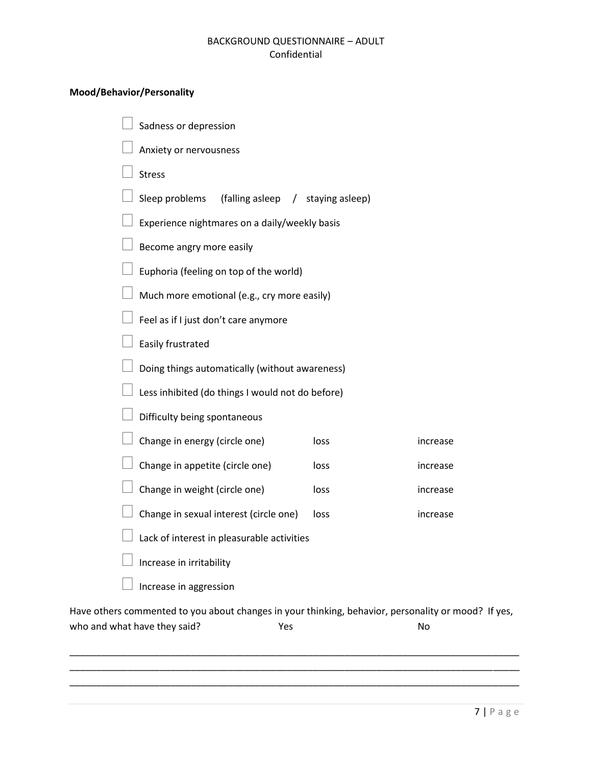# **Mood/Behavior/Personality**

| Sadness or depression                                                                               |      |          |
|-----------------------------------------------------------------------------------------------------|------|----------|
| Anxiety or nervousness                                                                              |      |          |
| <b>Stress</b>                                                                                       |      |          |
| Sleep problems<br>(falling asleep / staying asleep)                                                 |      |          |
| Experience nightmares on a daily/weekly basis                                                       |      |          |
| Become angry more easily                                                                            |      |          |
| Euphoria (feeling on top of the world)                                                              |      |          |
| Much more emotional (e.g., cry more easily)                                                         |      |          |
| Feel as if I just don't care anymore                                                                |      |          |
| Easily frustrated                                                                                   |      |          |
| Doing things automatically (without awareness)                                                      |      |          |
| Less inhibited (do things I would not do before)                                                    |      |          |
| Difficulty being spontaneous                                                                        |      |          |
| Change in energy (circle one)                                                                       | loss | increase |
| Change in appetite (circle one)                                                                     | loss | increase |
| Change in weight (circle one)                                                                       | loss | increase |
| Change in sexual interest (circle one)                                                              | loss | increase |
| Lack of interest in pleasurable activities                                                          |      |          |
| Increase in irritability                                                                            |      |          |
| Increase in aggression                                                                              |      |          |
| Have others commented to you about changes in your thinking, behavior, personality or mood? If yes, |      |          |

who and what have they said? The Mondo Yes No \_\_\_\_\_\_\_\_\_\_\_\_\_\_\_\_\_\_\_\_\_\_\_\_\_\_\_\_\_\_\_\_\_\_\_\_\_\_\_\_\_\_\_\_\_\_\_\_\_\_\_\_\_\_\_\_\_\_\_\_\_\_\_\_\_\_\_\_\_\_\_\_\_\_\_\_\_\_\_\_\_\_\_\_\_

\_\_\_\_\_\_\_\_\_\_\_\_\_\_\_\_\_\_\_\_\_\_\_\_\_\_\_\_\_\_\_\_\_\_\_\_\_\_\_\_\_\_\_\_\_\_\_\_\_\_\_\_\_\_\_\_\_\_\_\_\_\_\_\_\_\_\_\_\_\_\_\_\_\_\_\_\_\_\_\_\_\_\_\_\_ \_\_\_\_\_\_\_\_\_\_\_\_\_\_\_\_\_\_\_\_\_\_\_\_\_\_\_\_\_\_\_\_\_\_\_\_\_\_\_\_\_\_\_\_\_\_\_\_\_\_\_\_\_\_\_\_\_\_\_\_\_\_\_\_\_\_\_\_\_\_\_\_\_\_\_\_\_\_\_\_\_\_\_\_\_